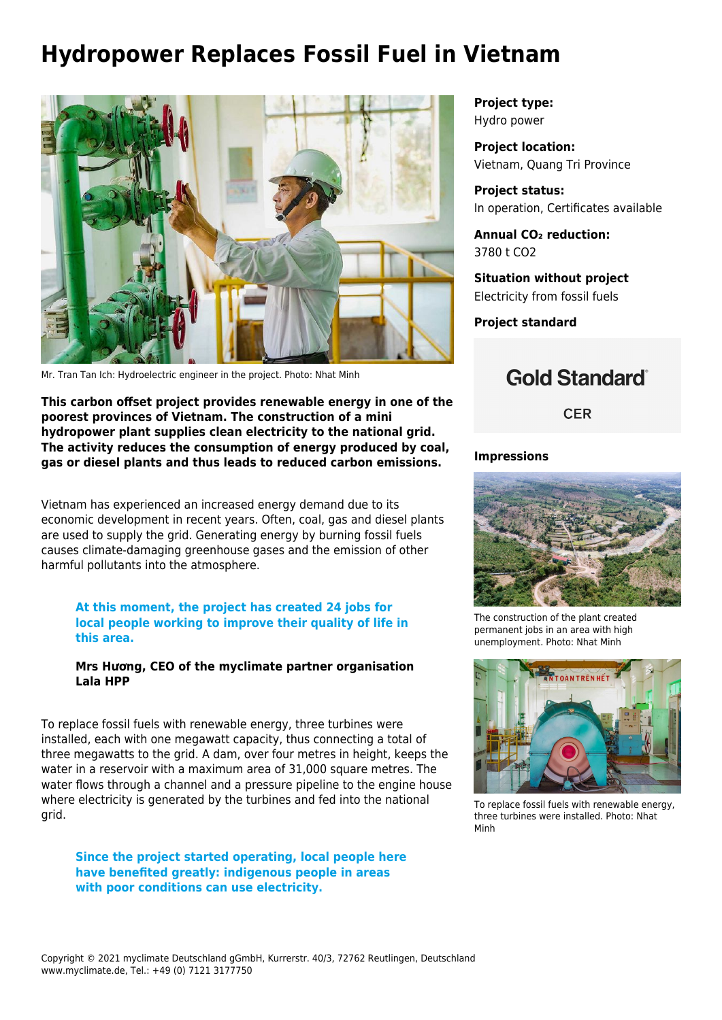# **Hydropower Replaces Fossil Fuel in Vietnam**



Mr. Tran Tan Ich: Hydroelectric engineer in the project. Photo: Nhat Minh

**This carbon offset project provides renewable energy in one of the poorest provinces of Vietnam. The construction of a mini hydropower plant supplies clean electricity to the national grid. The activity reduces the consumption of energy produced by coal, gas or diesel plants and thus leads to reduced carbon emissions.** 

Vietnam has experienced an increased energy demand due to its economic development in recent years. Often, coal, gas and diesel plants are used to supply the grid. Generating energy by burning fossil fuels causes climate-damaging greenhouse gases and the emission of other harmful pollutants into the atmosphere.

### **At this moment, the project has created 24 jobs for local people working to improve their quality of life in this area.**

#### **Mrs Hương, CEO of the myclimate partner organisation Lala HPP**

To replace fossil fuels with renewable energy, three turbines were installed, each with one megawatt capacity, thus connecting a total of three megawatts to the grid. A dam, over four metres in height, keeps the water in a reservoir with a maximum area of 31,000 square metres. The water flows through a channel and a pressure pipeline to the engine house where electricity is generated by the turbines and fed into the national grid.

**Since the project started operating, local people here have benefited greatly: indigenous people in areas with poor conditions can use electricity.**

**Project type:** Hydro power

**Project location:** Vietnam, Quang Tri Province

**Project status:** In operation, Certificates available

**Annual CO₂ reduction:** 3780 t CO2

**Situation without project** Electricity from fossil fuels

**Project standard**

## **Gold Standard**

**CER** 

### **Impressions**



The construction of the plant created permanent jobs in an area with high unemployment. Photo: Nhat Minh



To replace fossil fuels with renewable energy, three turbines were installed. Photo: Nhat Minh